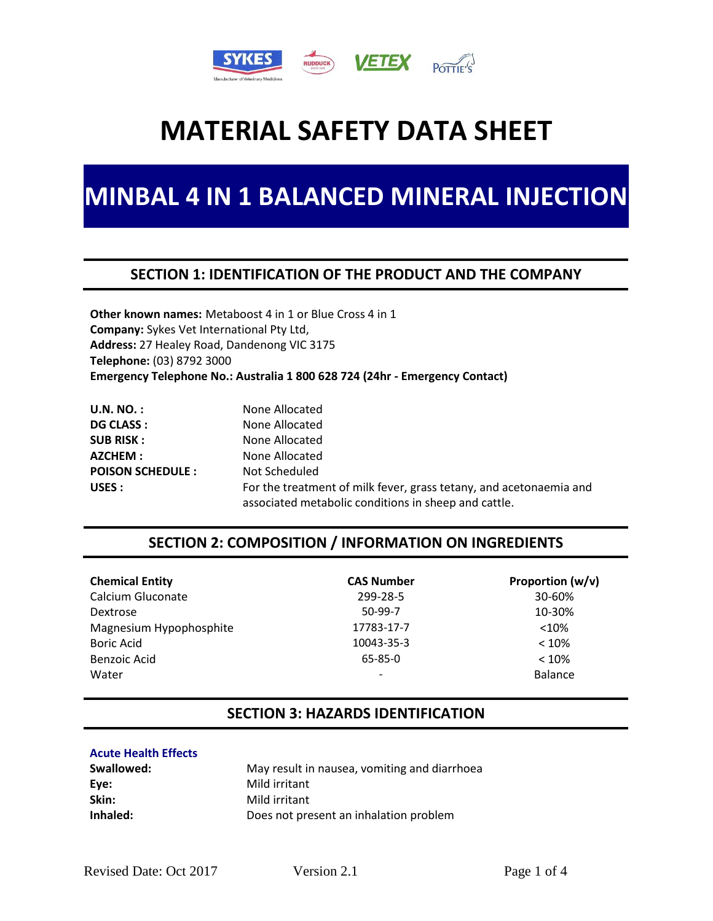

## **MINBAL 4 IN 1 BALANCED MINERAL INJECTION**

### **SECTION 1: IDENTIFICATION OF THE PRODUCT AND THE COMPANY**

**Other known names:** Metaboost 4 in 1 or Blue Cross 4 in 1 **Company:** Sykes Vet International Pty Ltd, **Address:** 27 Healey Road, Dandenong VIC 3175 **Telephone:** (03) 8792 3000 **Emergency Telephone No.: Australia 1 800 628 724 (24hr - Emergency Contact)**

| <b>U.N. NO. :</b>       | None Allocated                                                                                                             |
|-------------------------|----------------------------------------------------------------------------------------------------------------------------|
| <b>DG CLASS :</b>       | None Allocated                                                                                                             |
| <b>SUB RISK:</b>        | None Allocated                                                                                                             |
| AZCHEM:                 | None Allocated                                                                                                             |
| <b>POISON SCHEDULE:</b> | Not Scheduled                                                                                                              |
| USES :                  | For the treatment of milk fever, grass tetany, and acetonaemia and<br>associated metabolic conditions in sheep and cattle. |

## **SECTION 2: COMPOSITION / INFORMATION ON INGREDIENTS**

| <b>Chemical Entity</b>  | <b>CAS Number</b> | Proportion $(w/v)$ |
|-------------------------|-------------------|--------------------|
| Calcium Gluconate       | 299-28-5          | 30-60%             |
| Dextrose                | $50-99-7$         | 10-30%             |
| Magnesium Hypophosphite | 17783-17-7        | $<$ 10%            |
| <b>Boric Acid</b>       | 10043-35-3        | $< 10\%$           |
| Benzoic Acid            | $65 - 85 - 0$     | $< 10\%$           |
| Water                   | ۰                 | Balance            |

### **SECTION 3: HAZARDS IDENTIFICATION**

#### **Acute Health Effects**

| Swallowed: | May result in nausea, vomiting and diarrhoea |
|------------|----------------------------------------------|
| Eye:       | Mild irritant                                |
| Skin:      | Mild irritant                                |
| Inhaled:   | Does not present an inhalation problem       |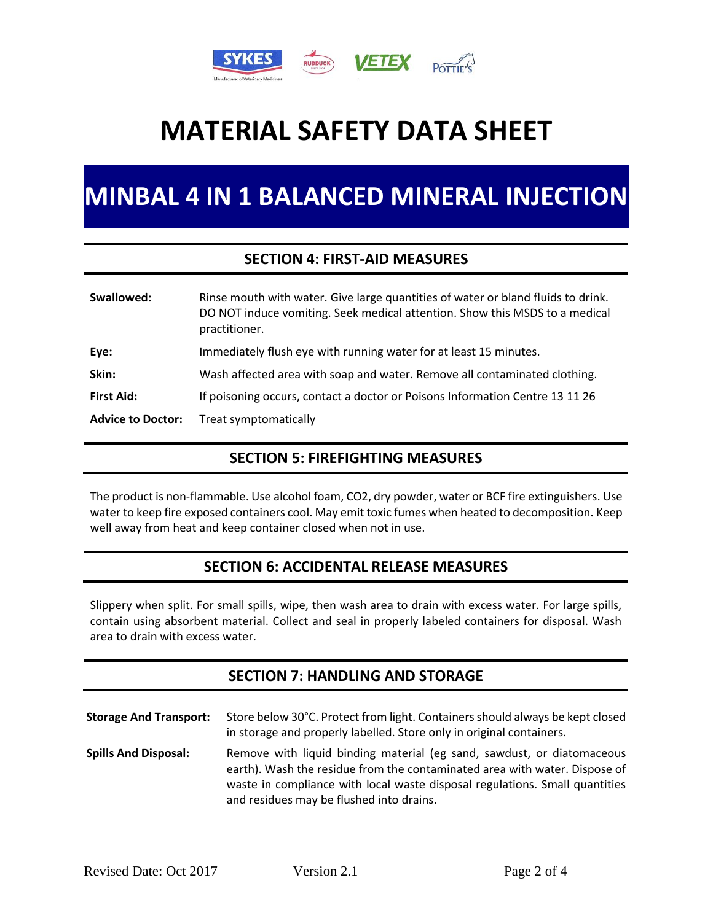

## **MINBAL 4 IN 1 BALANCED MINERAL INJECTION**

### **SECTION 4: FIRST-AID MEASURES**

| Swallowed:               | Rinse mouth with water. Give large quantities of water or bland fluids to drink.<br>DO NOT induce vomiting. Seek medical attention. Show this MSDS to a medical<br>practitioner. |
|--------------------------|----------------------------------------------------------------------------------------------------------------------------------------------------------------------------------|
| Eye:                     | Immediately flush eye with running water for at least 15 minutes.                                                                                                                |
| Skin:                    | Wash affected area with soap and water. Remove all contaminated clothing.                                                                                                        |
| <b>First Aid:</b>        | If poisoning occurs, contact a doctor or Poisons Information Centre 13 11 26                                                                                                     |
| <b>Advice to Doctor:</b> | Treat symptomatically                                                                                                                                                            |

### **SECTION 5: FIREFIGHTING MEASURES**

The product is non-flammable. Use alcohol foam, CO2, dry powder, water or BCF fire extinguishers. Use water to keep fire exposed containers cool. May emit toxic fumes when heated to decomposition**.** Keep well away from heat and keep container closed when not in use.

## **SECTION 6: ACCIDENTAL RELEASE MEASURES**

Slippery when split. For small spills, wipe, then wash area to drain with excess water. For large spills, contain using absorbent material. Collect and seal in properly labeled containers for disposal. Wash area to drain with excess water.

## **SECTION 7: HANDLING AND STORAGE**

| <b>Storage And Transport:</b> | Store below 30°C. Protect from light. Containers should always be kept closed<br>in storage and properly labelled. Store only in original containers.                                                                                                                           |
|-------------------------------|---------------------------------------------------------------------------------------------------------------------------------------------------------------------------------------------------------------------------------------------------------------------------------|
| <b>Spills And Disposal:</b>   | Remove with liquid binding material (eg sand, sawdust, or diatomaceous<br>earth). Wash the residue from the contaminated area with water. Dispose of<br>waste in compliance with local waste disposal regulations. Small quantities<br>and residues may be flushed into drains. |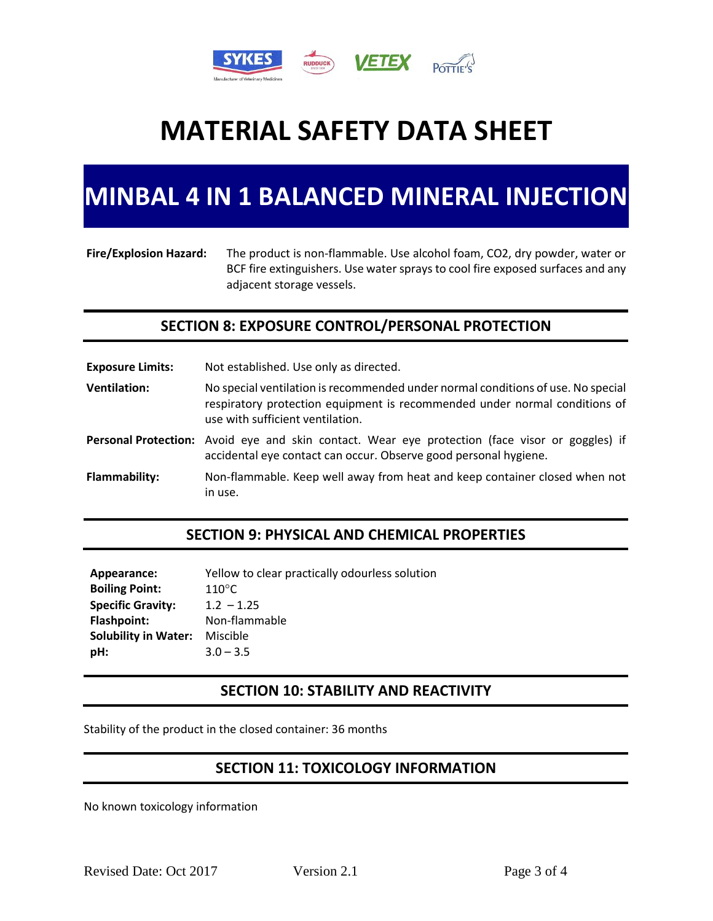

## **MINBAL 4 IN 1 BALANCED MINERAL INJECTION**

#### **Fire/Explosion Hazard:** The product is non-flammable. Use alcohol foam, CO2, dry powder, water or BCF fire extinguishers. Use water sprays to cool fire exposed surfaces and any adjacent storage vessels.

## **SECTION 8: EXPOSURE CONTROL/PERSONAL PROTECTION**

**Exposure Limits:** Not established. Use only as directed. **Ventilation:** No special ventilation is recommended under normal conditions of use. No special respiratory protection equipment is recommended under normal conditions of use with sufficient ventilation. **Personal Protection:** Avoid eye and skin contact. Wear eye protection (face visor or goggles) if accidental eye contact can occur. Observe good personal hygiene.

**Flammability:** Non-flammable. Keep well away from heat and keep container closed when not in use.

### **SECTION 9: PHYSICAL AND CHEMICAL PROPERTIES**

| Yellow to clear practically odourless solution |
|------------------------------------------------|
| $110^{\circ}$ C                                |
| $1.2 - 1.25$                                   |
| Non-flammable                                  |
| Miscible                                       |
| $3.0 - 3.5$                                    |
|                                                |

## **SECTION 10: STABILITY AND REACTIVITY**

Stability of the product in the closed container: 36 months

## **SECTION 11: TOXICOLOGY INFORMATION**

No known toxicology information